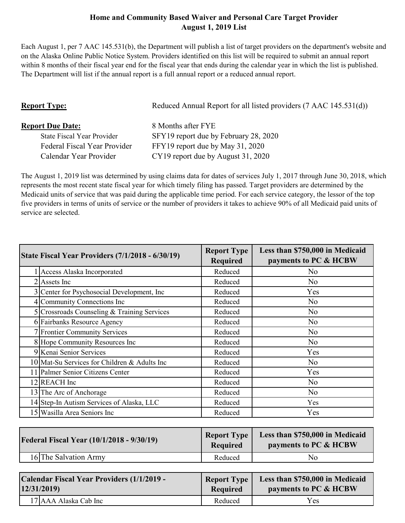## **Home and Community Based Waiver and Personal Care Target Provider August 1, 2019 List**

Each August 1, per 7 AAC 145.531(b), the Department will publish a list of target providers on the department's website and on the Alaska Online Public Notice System. Providers identified on this list will be required to submit an annual report within 8 months of their fiscal year end for the fiscal year that ends during the calendar year in which the list is published. The Department will list if the annual report is a full annual report or a reduced annual report.

| <b>Report Type:</b>               | Reduced Annual Report for all listed providers (7 AAC 145.531(d)) |
|-----------------------------------|-------------------------------------------------------------------|
| <b>Report Due Date:</b>           | 8 Months after FYE                                                |
| <b>State Fiscal Year Provider</b> | SFY19 report due by February 28, 2020                             |
| Federal Fiscal Year Provider      | FFY19 report due by May 31, 2020                                  |
| Calendar Year Provider            | CY19 report due by August 31, 2020                                |

The August 1, 2019 list was determined by using claims data for dates of services July 1, 2017 through June 30, 2018, which represents the most recent state fiscal year for which timely filing has passed. Target providers are determined by the Medicaid units of service that was paid during the applicable time period. For each service category, the lessor of the top five providers in terms of units of service or the number of providers it takes to achieve 90% of all Medicaid paid units of service are selected.

| State Fiscal Year Providers (7/1/2018 - 6/30/19) | <b>Report Type</b><br><b>Required</b> | Less than \$750,000 in Medicaid<br>payments to PC & HCBW |
|--------------------------------------------------|---------------------------------------|----------------------------------------------------------|
| Access Alaska Incorporated                       | Reduced                               | N <sub>0</sub>                                           |
| $2$ Assets Inc                                   | Reduced                               | N <sub>0</sub>                                           |
| 3 Center for Psychosocial Development, Inc.      | Reduced                               | Yes                                                      |
| 4 Community Connections Inc                      | Reduced                               | N <sub>0</sub>                                           |
| 5 Crossroads Counseling & Training Services      | Reduced                               | N <sub>0</sub>                                           |
| 6 Fairbanks Resource Agency                      | Reduced                               | N <sub>0</sub>                                           |
| <b>7</b> Frontier Community Services             | Reduced                               | N <sub>0</sub>                                           |
| 8 Hope Community Resources Inc                   | Reduced                               | N <sub>0</sub>                                           |
| 9 Kenai Senior Services                          | Reduced                               | Yes                                                      |
| 10 Mat-Su Services for Children & Adults Inc     | Reduced                               | N <sub>0</sub>                                           |
| 11 Palmer Senior Citizens Center                 | Reduced                               | Yes                                                      |
| 12 REACH Inc                                     | Reduced                               | N <sub>0</sub>                                           |
| 13 The Arc of Anchorage                          | Reduced                               | N <sub>0</sub>                                           |
| 14 Step-In Autism Services of Alaska, LLC        | Reduced                               | Yes                                                      |
| 15 Wasilla Area Seniors Inc                      | Reduced                               | Yes                                                      |
|                                                  |                                       |                                                          |

| <b>Federal Fiscal Year (10/1/2018 - 9/30/19)</b> | <b>Report Type</b><br><b>Required</b> | Less than \$750,000 in Medicaid<br>payments to PC & HCBW |
|--------------------------------------------------|---------------------------------------|----------------------------------------------------------|
| 16 The Salvation Army                            | Reduced                               | Nο                                                       |

| Calendar Fiscal Year Providers (1/1/2019 - | <b>Report Type</b> | Less than \$750,000 in Medicaid |
|--------------------------------------------|--------------------|---------------------------------|
| 12/31/2019                                 | <b>Required</b>    | payments to PC & HCBW           |
| 17 AAA Alaska Cab Inc                      | Reduced            | Yes                             |